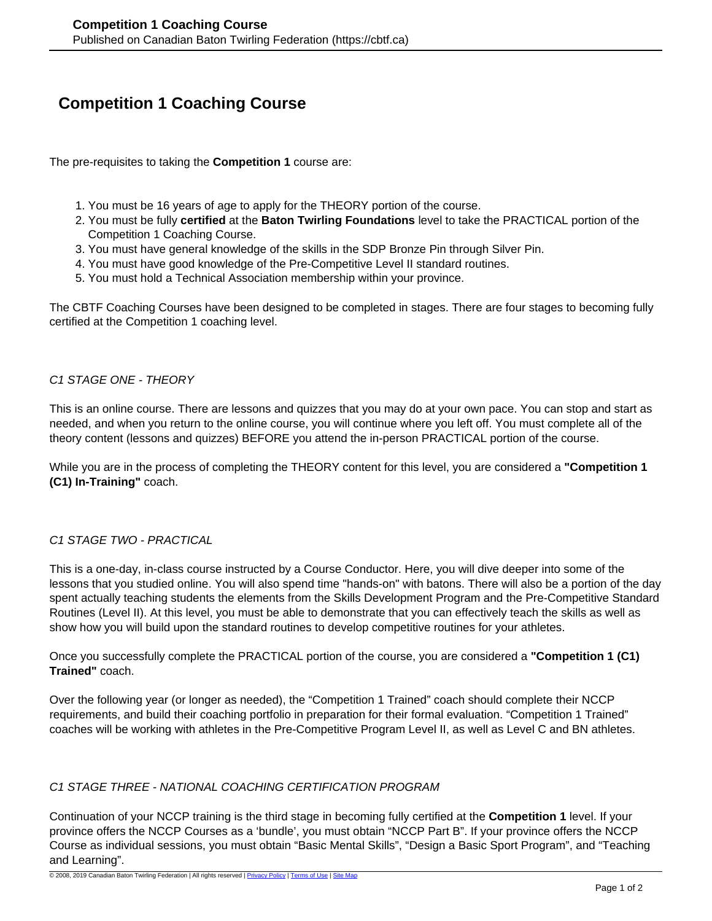# **Competition 1 Coaching Course**

The pre-requisites to taking the **Competition 1** course are:

- 1. You must be 16 years of age to apply for the THEORY portion of the course.
- 2. You must be fully **certified** at the **Baton Twirling Foundations** level to take the PRACTICAL portion of the Competition 1 Coaching Course.
- 3. You must have general knowledge of the skills in the SDP Bronze Pin through Silver Pin.
- 4. You must have good knowledge of the Pre-Competitive Level II standard routines.
- 5. You must hold a Technical Association membership within your province.

The CBTF Coaching Courses have been designed to be completed in stages. There are four stages to becoming fully certified at the Competition 1 coaching level.

#### C1 STAGE ONE - THEORY

This is an online course. There are lessons and quizzes that you may do at your own pace. You can stop and start as needed, and when you return to the online course, you will continue where you left off. You must complete all of the theory content (lessons and quizzes) BEFORE you attend the in-person PRACTICAL portion of the course.

While you are in the process of completing the THEORY content for this level, you are considered a **"Competition 1 (C1) In-Training"** coach.

## C1 STAGE TWO - PRACTICAL

This is a one-day, in-class course instructed by a Course Conductor. Here, you will dive deeper into some of the lessons that you studied online. You will also spend time "hands-on" with batons. There will also be a portion of the day spent actually teaching students the elements from the Skills Development Program and the Pre-Competitive Standard Routines (Level II). At this level, you must be able to demonstrate that you can effectively teach the skills as well as show how you will build upon the standard routines to develop competitive routines for your athletes.

Once you successfully complete the PRACTICAL portion of the course, you are considered a **"Competition 1 (C1) Trained"** coach.

Over the following year (or longer as needed), the "Competition 1 Trained" coach should complete their NCCP requirements, and build their coaching portfolio in preparation for their formal evaluation. "Competition 1 Trained" coaches will be working with athletes in the Pre-Competitive Program Level II, as well as Level C and BN athletes.

## C1 STAGE THREE - NATIONAL COACHING CERTIFICATION PROGRAM

Continuation of your NCCP training is the third stage in becoming fully certified at the **Competition 1** level. If your province offers the NCCP Courses as a 'bundle', you must obtain "NCCP Part B". If your province offers the NCCP Course as individual sessions, you must obtain "Basic Mental Skills", "Design a Basic Sport Program", and "Teaching and Learning".